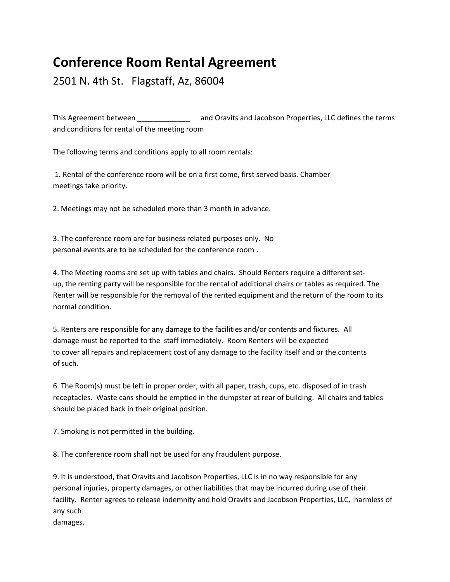## **Conference Room Rental Agreement**

2501 N. 4th St. Flagstaff, Az, 86004

This Agreement between *and Oravits and Jacobson Properties, LLC defines the terms* and conditions for rental of the meeting room

The following terms and conditions apply to all room rentals:

1. Rental of the conference room will be on a first come, first served basis. Chamber meetings take priority.

2. Meetings may not be scheduled more than 3 month in advance.

3. The conference room are for business related purposes only. No personal events are to be scheduled for the conference room .

4. The Meeting rooms are set up with tables and chairs. Should Renters require a different set‐ up, the renting party will be responsible for the rental of additional chairs or tables as required. The Renter will be responsible for the removal of the rented equipment and the return of the room to its normal condition.

5. Renters are responsible for any damage to the facilities and/or contents and fixtures. All damage must be reported to the staff immediately. Room Renters will be expected to cover all repairs and replacement cost of any damage to the facility itself and or the contents of such.

6. The Room(s) must be left in proper order, with all paper, trash, cups, etc. disposed of in trash receptacles. Waste cans should be emptied in the dumpster at rear of building. All chairs and tables should be placed back in their original position.

7. Smoking is not permitted in the building.

8. The conference room shall not be used for any fraudulent purpose.

9. It is understood, that Oravits and Jacobson Properties, LLC is in no way responsible for any personal injuries, property damages, or other liabilities that may be incurred during use of their facility. Renter agrees to release indemnity and hold Oravits and Jacobson Properties, LLC, harmless of any such damages.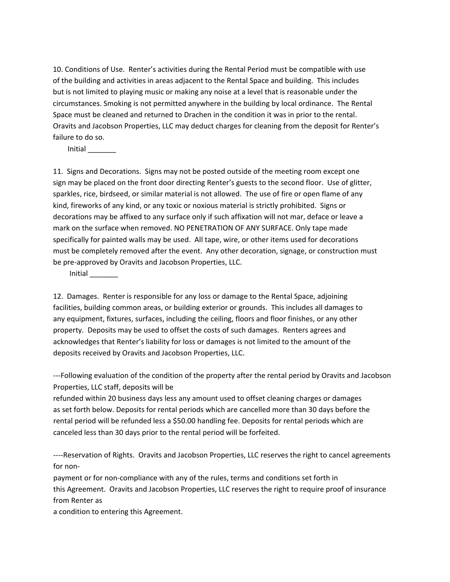10. Conditions of Use. Renter's activities during the Rental Period must be compatible with use of the building and activities in areas adjacent to the Rental Space and building. This includes but is not limited to playing music or making any noise at a level that is reasonable under the circumstances. Smoking is not permitted anywhere in the building by local ordinance. The Rental Space must be cleaned and returned to Drachen in the condition it was in prior to the rental. Oravits and Jacobson Properties, LLC may deduct charges for cleaning from the deposit for Renter's failure to do so.

Initial \_\_\_\_\_\_\_

11. Signs and Decorations. Signs may not be posted outside of the meeting room except one sign may be placed on the front door directing Renter's guests to the second floor. Use of glitter, sparkles, rice, birdseed, or similar material is not allowed. The use of fire or open flame of any kind, fireworks of any kind, or any toxic or noxious material is strictly prohibited. Signs or decorations may be affixed to any surface only if such affixation will not mar, deface or leave a mark on the surface when removed. NO PENETRATION OF ANY SURFACE. Only tape made specifically for painted walls may be used. All tape, wire, or other items used for decorations must be completely removed after the event. Any other decoration, signage, or construction must be pre‐approved by Oravits and Jacobson Properties, LLC.

Initial \_\_\_\_\_\_\_

12. Damages. Renter is responsible for any loss or damage to the Rental Space, adjoining facilities, building common areas, or building exterior or grounds. This includes all damages to any equipment, fixtures, surfaces, including the ceiling, floors and floor finishes, or any other property. Deposits may be used to offset the costs of such damages. Renters agrees and acknowledges that Renter's liability for loss or damages is not limited to the amount of the deposits received by Oravits and Jacobson Properties, LLC.

‐‐‐Following evaluation of the condition of the property after the rental period by Oravits and Jacobson Properties, LLC staff, deposits will be

refunded within 20 business days less any amount used to offset cleaning charges or damages as set forth below. Deposits for rental periods which are cancelled more than 30 days before the rental period will be refunded less a \$50.00 handling fee. Deposits for rental periods which are canceled less than 30 days prior to the rental period will be forfeited.

----Reservation of Rights. Oravits and Jacobson Properties, LLC reserves the right to cancel agreements for non‐

payment or for non‐compliance with any of the rules, terms and conditions set forth in this Agreement. Oravits and Jacobson Properties, LLC reserves the right to require proof of insurance from Renter as

a condition to entering this Agreement.